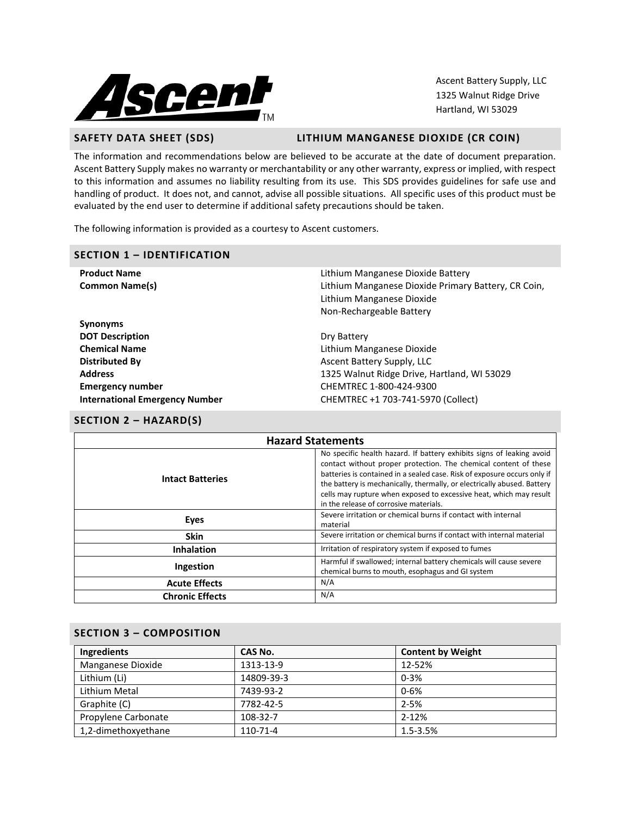

Ascent Battery Supply, LLC 1325 Walnut Ridge Drive Hartland, WI 53029

# **SAFETY DATA SHEET (SDS) LITHIUM MANGANESE DIOXIDE (CR COIN)**

The information and recommendations below are believed to be accurate at the date of document preparation. Ascent Battery Supply makes no warranty or merchantability or any other warranty, express or implied, with respect to this information and assumes no liability resulting from its use. This SDS provides guidelines for safe use and handling of product. It does not, and cannot, advise all possible situations. All specific uses of this product must be evaluated by the end user to determine if additional safety precautions should be taken.

The following information is provided as a courtesy to Ascent customers.

| <b>SECTION 1 - IDENTIFICATION</b>     |                                                     |  |  |
|---------------------------------------|-----------------------------------------------------|--|--|
| <b>Product Name</b>                   | Lithium Manganese Dioxide Battery                   |  |  |
| <b>Common Name(s)</b>                 | Lithium Manganese Dioxide Primary Battery, CR Coin, |  |  |
|                                       | Lithium Manganese Dioxide                           |  |  |
|                                       | Non-Rechargeable Battery                            |  |  |
| <b>Synonyms</b>                       |                                                     |  |  |
| <b>DOT Description</b>                | Dry Battery                                         |  |  |
| <b>Chemical Name</b>                  | Lithium Manganese Dioxide                           |  |  |
| Distributed By                        | Ascent Battery Supply, LLC                          |  |  |
| <b>Address</b>                        | 1325 Walnut Ridge Drive, Hartland, WI 53029         |  |  |
| <b>Emergency number</b>               | CHEMTREC 1-800-424-9300                             |  |  |
| <b>International Emergency Number</b> | CHEMTREC +1 703-741-5970 (Collect)                  |  |  |

# **SECTION 2 – HAZARD(S)**

| <b>Hazard Statements</b> |                                                                                                                                                                                                                                                                                                                                                                                                                  |  |
|--------------------------|------------------------------------------------------------------------------------------------------------------------------------------------------------------------------------------------------------------------------------------------------------------------------------------------------------------------------------------------------------------------------------------------------------------|--|
| <b>Intact Batteries</b>  | No specific health hazard. If battery exhibits signs of leaking avoid<br>contact without proper protection. The chemical content of these<br>batteries is contained in a sealed case. Risk of exposure occurs only if<br>the battery is mechanically, thermally, or electrically abused. Battery<br>cells may rupture when exposed to excessive heat, which may result<br>in the release of corrosive materials. |  |
| Eyes                     | Severe irritation or chemical burns if contact with internal<br>material                                                                                                                                                                                                                                                                                                                                         |  |
| <b>Skin</b>              | Severe irritation or chemical burns if contact with internal material                                                                                                                                                                                                                                                                                                                                            |  |
| <b>Inhalation</b>        | Irritation of respiratory system if exposed to fumes                                                                                                                                                                                                                                                                                                                                                             |  |
| Ingestion                | Harmful if swallowed; internal battery chemicals will cause severe<br>chemical burns to mouth, esophagus and GI system                                                                                                                                                                                                                                                                                           |  |
| <b>Acute Effects</b>     | N/A                                                                                                                                                                                                                                                                                                                                                                                                              |  |
| <b>Chronic Effects</b>   | N/A                                                                                                                                                                                                                                                                                                                                                                                                              |  |

## **SECTION 3 – COMPOSITION**

| Ingredients         | CAS No.    | <b>Content by Weight</b> |
|---------------------|------------|--------------------------|
| Manganese Dioxide   | 1313-13-9  | 12-52%                   |
| Lithium (Li)        | 14809-39-3 | $0 - 3%$                 |
| Lithium Metal       | 7439-93-2  | $0 - 6%$                 |
| Graphite (C)        | 7782-42-5  | $2 - 5%$                 |
| Propylene Carbonate | 108-32-7   | $2 - 12%$                |
| 1,2-dimethoxyethane | 110-71-4   | $1.5 - 3.5%$             |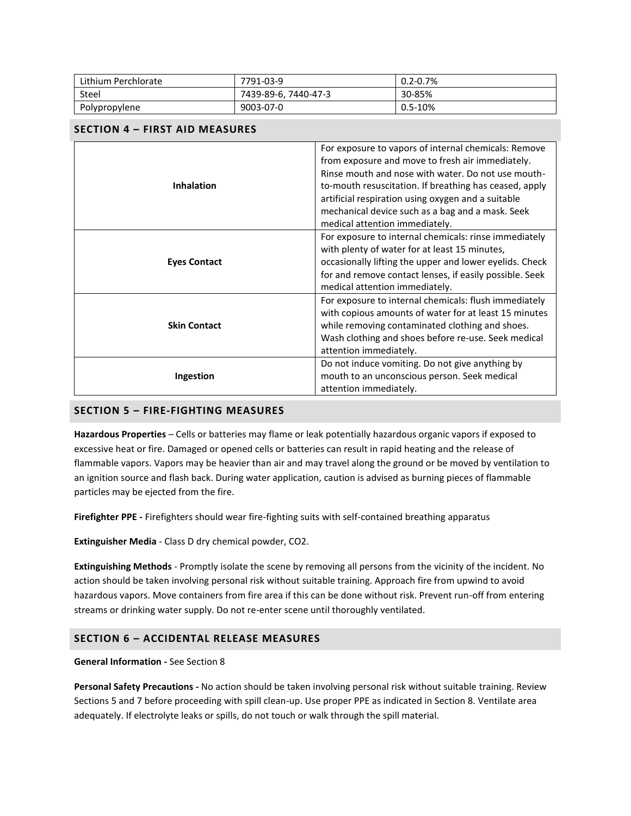| Lithium Perchlorate | 7791-03-9            | $0.2 - 0.7%$ |
|---------------------|----------------------|--------------|
| <b>Steel</b>        | 7439-89-6, 7440-47-3 | 30-85%       |
| Polypropylene       | 9003-07-0            | $0.5 - 10%$  |

# **SECTION 4 – FIRST AID MEASURES**

| <b>Inhalation</b>   | For exposure to vapors of internal chemicals: Remove<br>from exposure and move to fresh air immediately.<br>Rinse mouth and nose with water. Do not use mouth-<br>to-mouth resuscitation. If breathing has ceased, apply<br>artificial respiration using oxygen and a suitable<br>mechanical device such as a bag and a mask. Seek<br>medical attention immediately. |  |
|---------------------|----------------------------------------------------------------------------------------------------------------------------------------------------------------------------------------------------------------------------------------------------------------------------------------------------------------------------------------------------------------------|--|
| <b>Eyes Contact</b> | For exposure to internal chemicals: rinse immediately<br>with plenty of water for at least 15 minutes,<br>occasionally lifting the upper and lower eyelids. Check<br>for and remove contact lenses, if easily possible. Seek<br>medical attention immediately.                                                                                                       |  |
| <b>Skin Contact</b> | For exposure to internal chemicals: flush immediately<br>with copious amounts of water for at least 15 minutes<br>while removing contaminated clothing and shoes.<br>Wash clothing and shoes before re-use. Seek medical<br>attention immediately.                                                                                                                   |  |
| Ingestion           | Do not induce vomiting. Do not give anything by<br>mouth to an unconscious person. Seek medical<br>attention immediately.                                                                                                                                                                                                                                            |  |

## **SECTION 5 – FIRE-FIGHTING MEASURES**

**Hazardous Properties** – Cells or batteries may flame or leak potentially hazardous organic vapors if exposed to excessive heat or fire. Damaged or opened cells or batteries can result in rapid heating and the release of flammable vapors. Vapors may be heavier than air and may travel along the ground or be moved by ventilation to an ignition source and flash back. During water application, caution is advised as burning pieces of flammable particles may be ejected from the fire.

**Firefighter PPE -** Firefighters should wear fire-fighting suits with self-contained breathing apparatus

**Extinguisher Media** - Class D dry chemical powder, CO2.

**Extinguishing Methods** - Promptly isolate the scene by removing all persons from the vicinity of the incident. No action should be taken involving personal risk without suitable training. Approach fire from upwind to avoid hazardous vapors. Move containers from fire area if this can be done without risk. Prevent run-off from entering streams or drinking water supply. Do not re-enter scene until thoroughly ventilated.

# **SECTION 6 – ACCIDENTAL RELEASE MEASURES**

#### **General Information -** See Section 8

**Personal Safety Precautions -** No action should be taken involving personal risk without suitable training. Review Sections 5 and 7 before proceeding with spill clean-up. Use proper PPE as indicated in Section 8. Ventilate area adequately. If electrolyte leaks or spills, do not touch or walk through the spill material.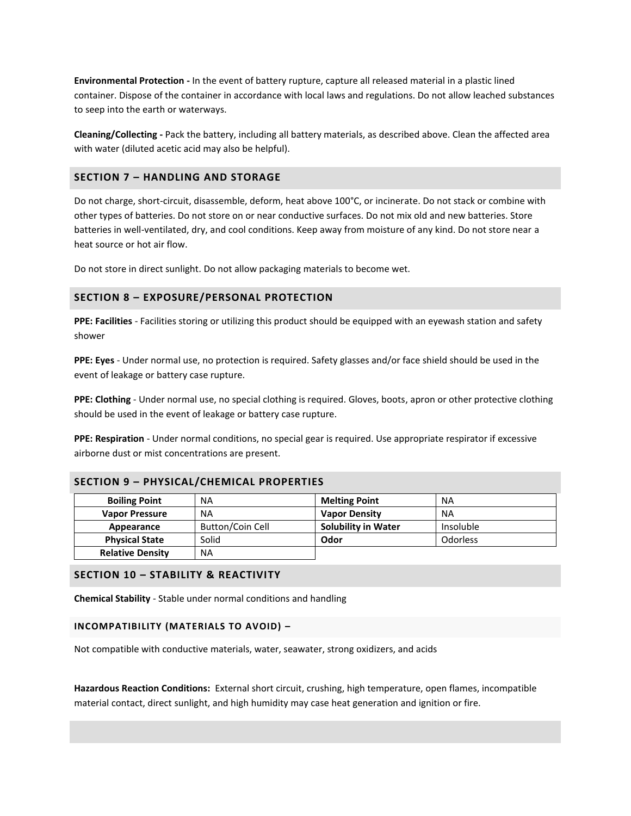**Environmental Protection -** In the event of battery rupture, capture all released material in a plastic lined container. Dispose of the container in accordance with local laws and regulations. Do not allow leached substances to seep into the earth or waterways.

**Cleaning/Collecting -** Pack the battery, including all battery materials, as described above. Clean the affected area with water (diluted acetic acid may also be helpful).

## **SECTION 7 – HANDLING AND STORAGE**

Do not charge, short-circuit, disassemble, deform, heat above 100°C, or incinerate. Do not stack or combine with other types of batteries. Do not store on or near conductive surfaces. Do not mix old and new batteries. Store batteries in well-ventilated, dry, and cool conditions. Keep away from moisture of any kind. Do not store near a heat source or hot air flow.

Do not store in direct sunlight. Do not allow packaging materials to become wet.

#### **SECTION 8 – EXPOSURE/PERSONAL PROTECTION**

**PPE: Facilities** - Facilities storing or utilizing this product should be equipped with an eyewash station and safety shower

**PPE: Eyes** - Under normal use, no protection is required. Safety glasses and/or face shield should be used in the event of leakage or battery case rupture.

**PPE: Clothing** - Under normal use, no special clothing is required. Gloves, boots, apron or other protective clothing should be used in the event of leakage or battery case rupture.

**PPE: Respiration** - Under normal conditions, no special gear is required. Use appropriate respirator if excessive airborne dust or mist concentrations are present.

| <b>Boiling Point</b>    | NA               | <b>Melting Point</b>       | <b>NA</b>       |
|-------------------------|------------------|----------------------------|-----------------|
| <b>Vapor Pressure</b>   | NA               | <b>Vapor Density</b>       | <b>NA</b>       |
| Appearance              | Button/Coin Cell | <b>Solubility in Water</b> | Insoluble       |
| <b>Physical State</b>   | Solid            | Odor                       | <b>Odorless</b> |
| <b>Relative Density</b> | NA               |                            |                 |

## **SECTION 10 – STABILITY & REACTIVITY**

**Chemical Stability** - Stable under normal conditions and handling

#### **INCOMPATIBILITY (MATERIALS TO AVOID) –**

Not compatible with conductive materials, water, seawater, strong oxidizers, and acids

**Hazardous Reaction Conditions:** External short circuit, crushing, high temperature, open flames, incompatible material contact, direct sunlight, and high humidity may case heat generation and ignition or fire.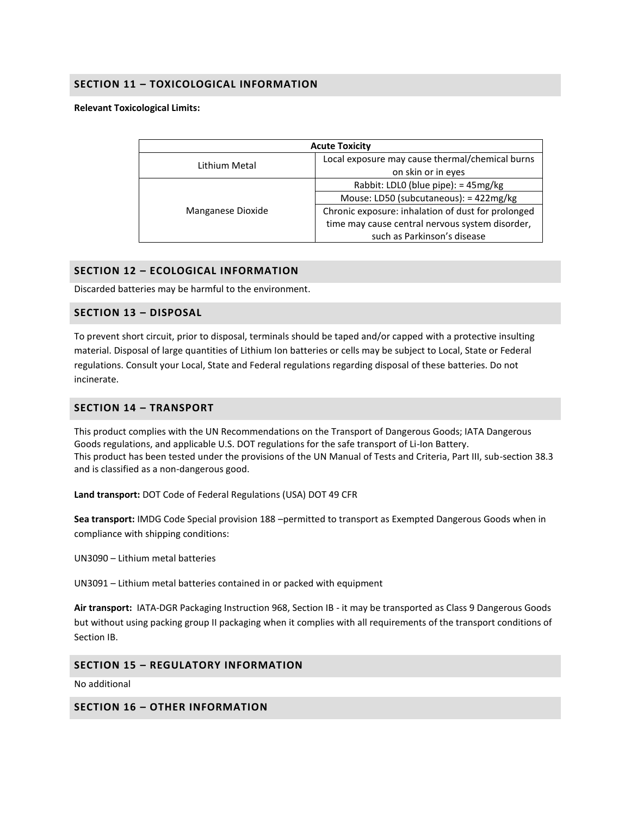# **SECTION 11 – TOXICOLOGICAL INFORMATION**

#### **Relevant Toxicological Limits:**

| <b>Acute Toxicity</b> |                                                    |  |
|-----------------------|----------------------------------------------------|--|
| Lithium Metal         | Local exposure may cause thermal/chemical burns    |  |
|                       | on skin or in eyes                                 |  |
| Manganese Dioxide     | Rabbit: LDL0 (blue pipe): = 45mg/kg                |  |
|                       | Mouse: LD50 (subcutaneous): = 422mg/kg             |  |
|                       | Chronic exposure: inhalation of dust for prolonged |  |
|                       | time may cause central nervous system disorder,    |  |
|                       | such as Parkinson's disease                        |  |

## **SECTION 12 – ECOLOGICAL INFORMATION**

Discarded batteries may be harmful to the environment.

#### **SECTION 13 – DISPOSAL**

To prevent short circuit, prior to disposal, terminals should be taped and/or capped with a protective insulting material. Disposal of large quantities of Lithium Ion batteries or cells may be subject to Local, State or Federal regulations. Consult your Local, State and Federal regulations regarding disposal of these batteries. Do not incinerate.

## **SECTION 14 – TRANSPORT**

This product complies with the UN Recommendations on the Transport of Dangerous Goods; IATA Dangerous Goods regulations, and applicable U.S. DOT regulations for the safe transport of Li-Ion Battery. This product has been tested under the provisions of the UN Manual of Tests and Criteria, Part III, sub-section 38.3 and is classified as a non-dangerous good.

**Land transport:** DOT Code of Federal Regulations (USA) DOT 49 CFR

**Sea transport:** IMDG Code Special provision 188 –permitted to transport as Exempted Dangerous Goods when in compliance with shipping conditions:

UN3090 – Lithium metal batteries

UN3091 – Lithium metal batteries contained in or packed with equipment

**Air transport:** IATA-DGR Packaging Instruction 968, Section IB - it may be transported as Class 9 Dangerous Goods but without using packing group II packaging when it complies with all requirements of the transport conditions of Section IB.

## **SECTION 15 – REGULATORY INFORMATION**

No additional

#### **SECTION 16 – OTHER INFORMATION**